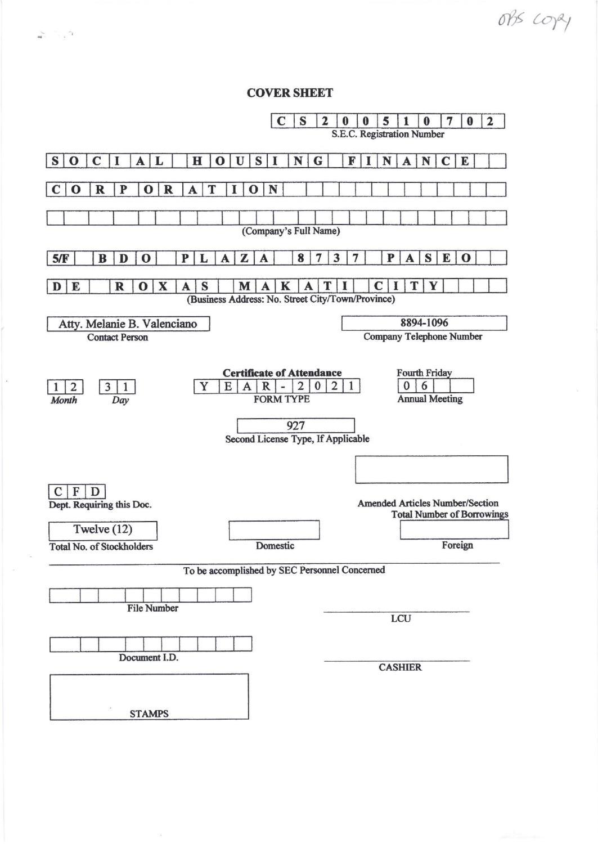**COVER SHEET** 

 $\zeta_{\rm c}$  ,  $\zeta_{\rm m}$ 

 $\overline{\phantom{a}}$ 

 $\sim$ 

obs copy

| C<br>S                                                                                                                                            | $\overline{\mathbf{2}}$<br>5<br>7<br>$\bf{0}$<br>$\bf{0}$<br>2<br>0<br>0<br>S.E.C. Registration Number |  |
|---------------------------------------------------------------------------------------------------------------------------------------------------|--------------------------------------------------------------------------------------------------------|--|
| $\mathbf H$<br>S I<br>N<br>S<br>$\mathbf C$<br>I<br>L<br>$\mathbf U$<br>$\mathbf 0$<br>$\bf{O}$<br>A                                              | G<br>N<br>E<br>F<br>N<br>$\mathbf C$<br>A                                                              |  |
| $\mathbf R$<br>N<br>$\mathbf R$<br>P<br>T<br>$\mathbf 0$<br>$\mathbf 0$<br>A<br>$\mathbf 0$                                                       |                                                                                                        |  |
| (Company's Full Name)                                                                                                                             |                                                                                                        |  |
| 5/F<br>B<br>D<br>$\bf{o}$<br>P<br>L<br>8<br>z<br>A<br>A                                                                                           | S<br>3<br>P<br>E<br>7<br>$\mathbf 0$<br>A<br>7                                                         |  |
| $\boldsymbol{\mathrm{X}}$<br>S<br>$\mathbf R$<br>M<br>K<br>E<br>D<br>$\bf{0}$<br>A<br>A<br>(Business Address: No. Street City/Town/Province)      | T<br>Y<br>C                                                                                            |  |
| Atty. Melanie B. Valenciano<br><b>Contact Person</b>                                                                                              | 8894-1096<br><b>Company Telephone Number</b>                                                           |  |
| <b>Certificate of Attendance</b><br>Y<br>$\overline{3}$<br>$\overline{2}$<br>E<br>$\mathbf{1}$<br>2<br>A<br>R<br><b>FORM TYPE</b><br>Month<br>Day | <b>Fourth Friday</b><br>$\overline{2}$<br>6<br>$\bf{0}$<br>$\bf{0}$<br>1<br><b>Annual Meeting</b>      |  |
| 927<br>Second License Type, If Applicable                                                                                                         |                                                                                                        |  |
|                                                                                                                                                   |                                                                                                        |  |
| F<br>$\mathbf{D}$<br>$\mathbf C$<br>Dept. Requiring this Doc.                                                                                     | <b>Amended Articles Number/Section</b><br><b>Total Number of Borrowings</b>                            |  |
| Twelve $(12)$<br>Domestic<br><b>Total No. of Stockholders</b>                                                                                     | Foreign                                                                                                |  |
| To be accomplished by SEC Personnel Concerned                                                                                                     |                                                                                                        |  |
| <b>File Number</b>                                                                                                                                | LCU                                                                                                    |  |
|                                                                                                                                                   |                                                                                                        |  |
| Document I.D.                                                                                                                                     | <b>CASHIER</b>                                                                                         |  |
| <b>STAMPS</b>                                                                                                                                     |                                                                                                        |  |